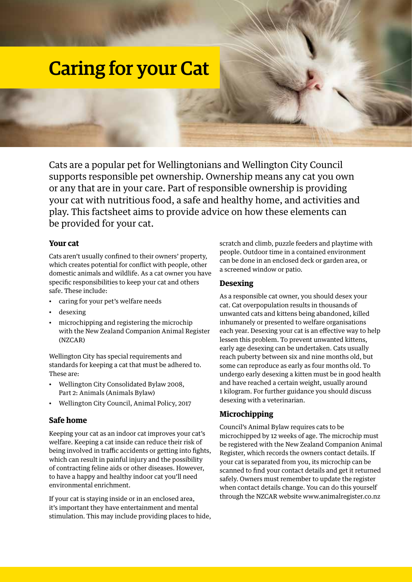# Caring for your Cat

Cats are a popular pet for Wellingtonians and Wellington City Council supports responsible pet ownership. Ownership means any cat you own or any that are in your care. Part of responsible ownership is providing your cat with nutritious food, a safe and healthy home, and activities and play. This factsheet aims to provide advice on how these elements can be provided for your cat.

#### **Your cat**

Cats aren't usually confined to their owners' property, which creates potential for conflict with people, other domestic animals and wildlife. As a cat owner you have specific responsibilities to keep your cat and others safe. These include:

- caring for your pet's welfare needs
- desexing
- microchipping and registering the microchip with the New Zealand Companion Animal Register (NZCAR)

Wellington City has special requirements and standards for keeping a cat that must be adhered to. These are:

- Wellington City Consolidated Bylaw 2008, Part 2: Animals (Animals Bylaw)
- Wellington City Council, Animal Policy, 2017

#### **Safe home**

Keeping your cat as an indoor cat improves your cat's welfare. Keeping a cat inside can reduce their risk of being involved in traffic accidents or getting into fights, which can result in painful injury and the possibility of contracting feline aids or other diseases. However, to have a happy and healthy indoor cat you'll need environmental enrichment.

If your cat is staying inside or in an enclosed area, it's important they have entertainment and mental stimulation. This may include providing places to hide, scratch and climb, puzzle feeders and playtime with people. Outdoor time in a contained environment can be done in an enclosed deck or garden area, or a screened window or patio.

#### **Desexing**

As a responsible cat owner, you should desex your cat. Cat overpopulation results in thousands of unwanted cats and kittens being abandoned, killed inhumanely or presented to welfare organisations each year. Desexing your cat is an effective way to help lessen this problem. To prevent unwanted kittens, early age desexing can be undertaken. Cats usually reach puberty between six and nine months old, but some can reproduce as early as four months old. To undergo early desexing a kitten must be in good health and have reached a certain weight, usually around 1 kilogram. For further guidance you should discuss desexing with a veterinarian.

#### **Microchipping**

Council's Animal Bylaw requires cats to be microchipped by 12 weeks of age. The microchip must be registered with the New Zealand Companion Animal Register, which records the owners contact details. If your cat is separated from you, its microchip can be scanned to find your contact details and get it returned safely. Owners must remember to update the register when contact details change. You can do this yourself through the NZCAR website www.animalregister.co.nz